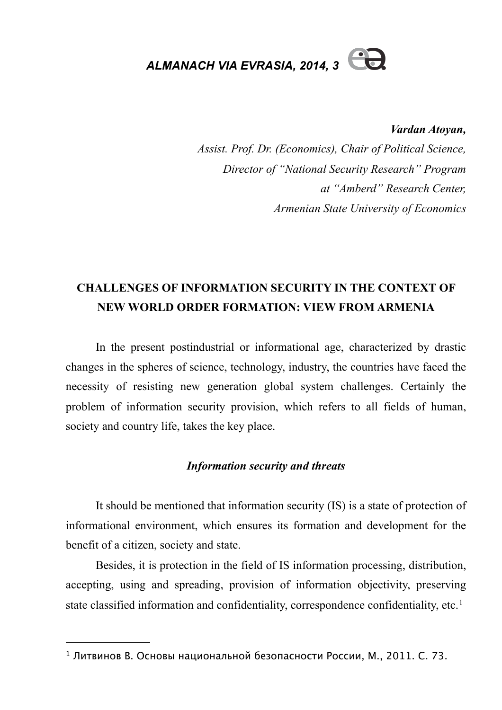*ALMANACH VIA EVRASIA, 2014, 3* 

*Vardan Atoyan,*

*Assist. Prof. Dr. (Economics), Chair of Political Science, Director of "National Security Research" Program at "Amberd" Research Center, Armenian State University of Economics*

# **CHALLENGES OF INFORMATION SECURITY IN THE CONTEXT OF NEW WORLD ORDER FORMATION: VIEW FROM ARMENIA**

In the present postindustrial or informational age, characterized by drastic changes in the spheres of science, technology, industry, the countries have faced the necessity of resisting new generation global system challenges. Certainly the problem of information security provision, which refers to all fields of human, society and country life, takes the key place.

#### *Information security and threats*

It should be mentioned that information security (IS) is a state of protection of informational environment, which ensures its formation and development for the benefit of a citizen, society and state.

Besides, it is protection in the field of IS information processing, distribution, accepting, using and spreading, provision of information objectivity, preserving state classified information and confidentiality, correspondence confidentiality, etc.<sup>[1](#page-0-0)</sup>

<span id="page-0-0"></span><sup>1</sup> Литвинов В. Основы национальной безопасности России, М., 2011. С. 73.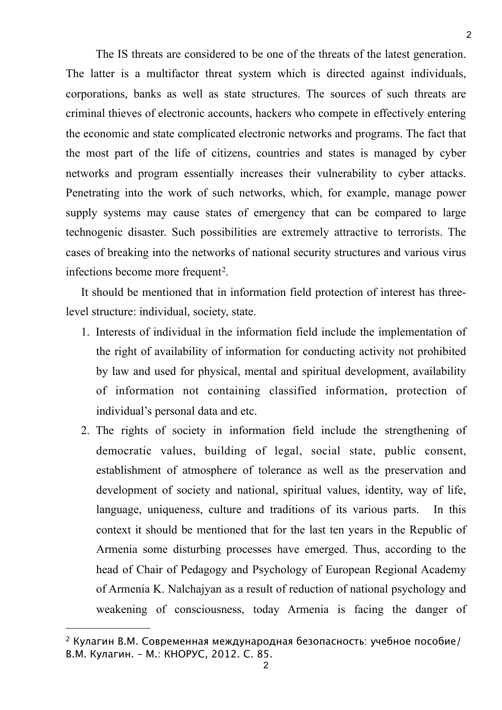The IS threats are considered to be one of the threats of the latest generation. The latter is a multifactor threat system which is directed against individuals, corporations, banks as well as state structures. The sources of such threats are criminal thieves of electronic accounts, hackers who compete in effectively entering the economic and state complicated electronic networks and programs. The fact that the most part of the life of citizens, countries and states is managed by cyber networks and program essentially increases their vulnerability to cyber attacks. Penetrating into the work of such networks, which, for example, manage power supply systems may cause states of emergency that can be compared to large technogenic disaster. Such possibilities are extremely attractive to terrorists. The cases of breaking into the networks of national security structures and various virus infections become more frequent<sup>[2](#page-1-0)</sup>.

It should be mentioned that in information field protection of interest has threelevel structure: individual, society, state.

- 1. Interests of individual in the information field include the implementation of the right of availability of information for conducting activity not prohibited by law and used for physical, mental and spiritual development, availability of information not containing classified information, protection of individual's personal data and etc.
- 2. The rights of society in information field include the strengthening of democratic values, building of legal, social state, public consent, establishment of atmosphere of tolerance as well as the preservation and development of society and national, spiritual values, identity, way of life, language, uniqueness, culture and traditions of its various parts. In this context it should be mentioned that for the last ten years in the Republic of Armenia some disturbing processes have emerged. Thus, according to the head of Chair of Pedagogy and Psychology of European Regional Academy of Armenia K. Nalchajyan as a result of reduction of national psychology and weakening of consciousness, today Armenia is facing the danger of

<span id="page-1-0"></span><sup>&</sup>lt;sup>2</sup> Кулагин В.М. Современная международная безопасность: учебное пособие/ В.М. Кулагин. – М.: КНОРУС, 2012. С. 85.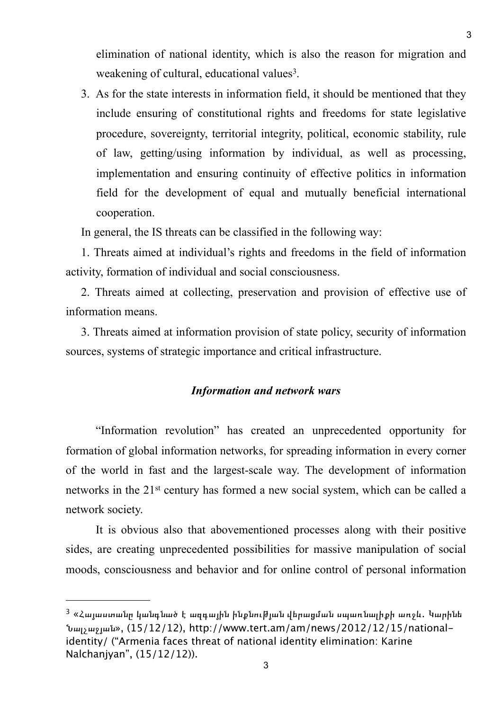elimination of national identity, which is also the reason for migration and weakening of cultural, educational values<sup>3</sup>.

3. As for the state interests in information field, it should be mentioned that they include ensuring of constitutional rights and freedoms for state legislative procedure, sovereignty, territorial integrity, political, economic stability, rule of law, getting/using information by individual, as well as processing, implementation and ensuring continuity of effective politics in information field for the development of equal and mutually beneficial international cooperation.

In general, the IS threats can be classified in the following way:

1. Threats aimed at individual's rights and freedoms in the field of information activity, formation of individual and social consciousness.

2. Threats aimed at collecting, preservation and provision of effective use of information means.

3. Threats aimed at information provision of state policy, security of information sources, systems of strategic importance and critical infrastructure.

#### *Information and network wars*

"Information revolution" has created an unprecedented opportunity for formation of global information networks, for spreading information in every corner of the world in fast and the largest-scale way. The development of information networks in the 21<sup>st</sup> century has formed a new social system, which can be called a network society.

It is obvious also that abovementioned processes along with their positive sides, are creating unprecedented possibilities for massive manipulation of social moods, consciousness and behavior and for online control of personal information

<span id="page-2-0"></span> $3\,$  «Հայաստանը կանգնած է ազգային ինքնու $b$ յան վերազման սպառնալիքի առջև. Կարինե Նալչաջյան», (15/12/12), http://www.tert.am/am/news/2012/12/15/nationalidentity/ ("Armenia faces threat of national identity elimination: Karine Nalchanjyan", (15/12/12)).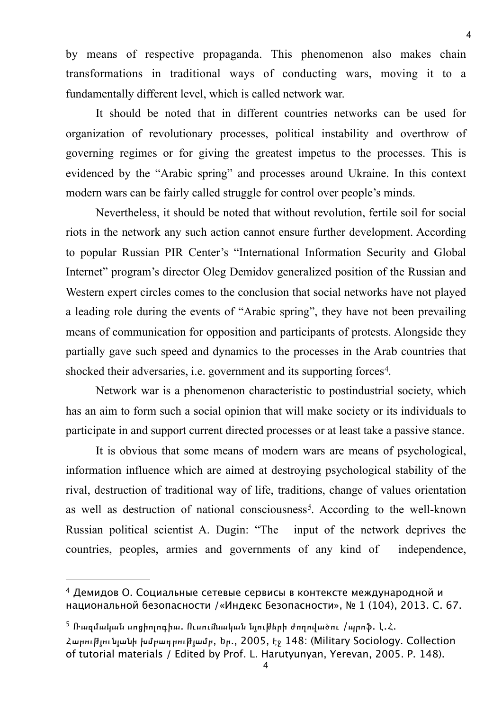by means of respective propaganda. This phenomenon also makes chain transformations in traditional ways of conducting wars, moving it to a fundamentally different level, which is called network war.

It should be noted that in different countries networks can be used for organization of revolutionary processes, political instability and overthrow of governing regimes or for giving the greatest impetus to the processes. This is evidenced by the "Arabic spring" and processes around Ukraine. In this context modern wars can be fairly called struggle for control over people's minds.

Nevertheless, it should be noted that without revolution, fertile soil for social riots in the network any such action cannot ensure further development. According to popular Russian PIR Center's "International Information Security and Global Internet" program's director Oleg Demidov generalized position of the Russian and Western expert circles comes to the conclusion that social networks have not played a leading role during the events of "Arabic spring", they have not been prevailing means of communication for opposition and participants of protests. Alongside they partially gave such speed and dynamics to the processes in the Arab countries that shocked their adversaries, i.e. government and its supporting forces<sup>[4](#page-3-0)</sup>.

Network war is a phenomenon characteristic to postindustrial society, which has an aim to form such a social opinion that will make society or its individuals to participate in and support current directed processes or at least take a passive stance.

It is obvious that some means of modern wars are means of psychological, information influence which are aimed at destroying psychological stability of the rival, destruction of traditional way of life, traditions, change of values orientation as well as destruction of national consciousness<sup>[5](#page-3-1)</sup>. According to the well-known Russian political scientist A. Dugin: "The input of the network deprives the countries, peoples, armies and governments of any kind of independence,

4

<span id="page-3-0"></span><sup>4</sup> Демидов О. Социальные сетевые сервисы в контексте международной и национальной безопасности /«Индекс Безопасности», № 1 (104), 2013. С. 67.

<span id="page-3-1"></span> $^5$  Ռազմական սոցիոլոգիա. Ուսումաական նյուխերի ժողովածու /պրոֆ. Լ.Հ.

Հարությունյանի խմբագրությամբ, Եր., 2005, էջ 148: (Military Sociology. Collection of tutorial materials / Edited by Prof. L. Harutyunyan, Yerevan, 2005. P. 148).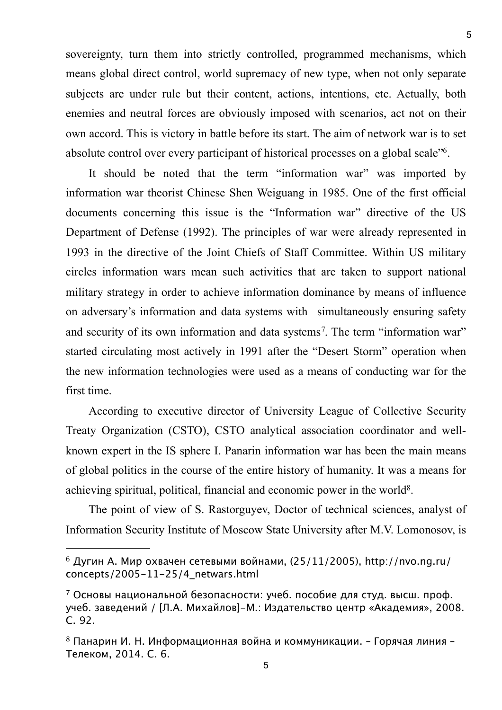sovereignty, turn them into strictly controlled, programmed mechanisms, which means global direct control, world supremacy of new type, when not only separate subjects are under rule but their content, actions, intentions, etc. Actually, both enemies and neutral forces are obviously imposed with scenarios, act not on their own accord. This is victory in battle before its start. The aim of network war is to set absolute control over every participant of historical processes on a global scale["6](#page-4-0).

It should be noted that the term "information war" was imported by information war theorist Chinese Shen Weiguang in 1985. One of the first official documents concerning this issue is the "Information war" directive of the US Department of Defense (1992). The principles of war were already represented in 1993 in the directive of the Joint Chiefs of Staff Committee. Within US military circles information wars mean such activities that are taken to support national military strategy in order to achieve information dominance by means of influence on adversary's information and data systems with simultaneously ensuring safety and security of its own information and data systems<sup>[7](#page-4-1)</sup>. The term "information war" started circulating most actively in 1991 after the "Desert Storm" operation when the new information technologies were used as a means of conducting war for the first time.

According to executive director of University League of Collective Security Treaty Organization (CSTO), CSTO analytical association coordinator and wellknown expert in the IS sphere I. Panarin information war has been the main means of global politics in the course of the entire history of humanity. It was a means for achieving spiritual, political, financial and economic power in the world[8.](#page-4-2)

The point of view of S. Rastorguyev, Doctor of technical sciences, analyst of Information Security Institute of Moscow State University after M.V. Lomonosov, is

<span id="page-4-0"></span> $6$  Дугин А. Мир охвачен сетевыми войнами, (25/11/2005), http://nvo.ng.ru/ concepts/2005-11-25/4\_netwars.html

<span id="page-4-1"></span> $7$  Основы национальной безопасности: учеб. пособие для студ. высш. проф. учеб. заведений / [Л.А. Михайлов]-М.: Издательство центр «Академия», 2008. С. 92.

<span id="page-4-2"></span> $8$  Панарин И. Н. Информационная война и коммуникации. - Горячая линия -Телеком, 2014. С. 6.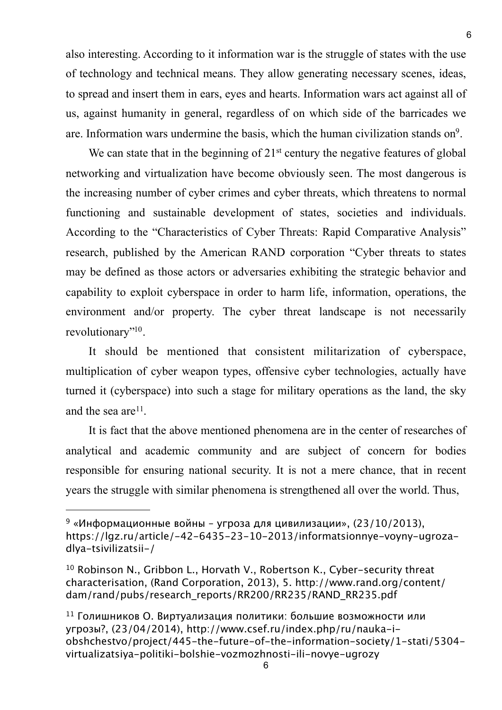also interesting. According to it information war is the struggle of states with the use of technology and technical means. They allow generating necessary scenes, ideas, to spread and insert them in ears, eyes and hearts. Information wars act against all of us, against humanity in general, regardless of on which side of the barricades we are. Information wars undermine the basis, which the human civilization stands o[n9.](#page-5-0)

We can state that in the beginning of 21<sup>st</sup> century the negative features of global networking and virtualization have become obviously seen. The most dangerous is the increasing number of cyber crimes and cyber threats, which threatens to normal functioning and sustainable development of states, societies and individuals. According to the "Characteristics of Cyber Threats: Rapid Comparative Analysis" research, published by the American RAND corporation "Cyber threats to states may be defined as those actors or adversaries exhibiting the strategic behavior and capability to exploit cyberspace in order to harm life, information, operations, the environment and/or property. The cyber threat landscape is not necessarily revolutionary"<sup>10</sup>.

It should be mentioned that consistent militarization of cyberspace, multiplication of cyber weapon types, offensive cyber technologies, actually have turned it (cyberspace) into such a stage for military operations as the land, the sky and the sea are<sup>[11](#page-5-2)</sup>.

It is fact that the above mentioned phenomena are in the center of researches of analytical and academic community and are subject of concern for bodies responsible for ensuring national security. It is not a mere chance, that in recent years the struggle with similar phenomena is strengthened all over the world. Thus,

<span id="page-5-0"></span><sup>&</sup>lt;sup>9</sup> «Информационные войны - угроза для цивилизации», (23/10/2013), https://lgz.ru/article/-42-6435-23-10-2013/informatsionnye-voyny-ugrozadlya-tsivilizatsii-/

<span id="page-5-1"></span><sup>10</sup> Robinson N., Gribbon L., Horvath V., Robertson K., Cyber-security threat characterisation, (Rand Corporation, 2013), 5. http://www.rand.org/content/ dam/rand/pubs/research\_reports/RR200/RR235/RAND\_RR235.pdf

<span id="page-5-2"></span> $11$  Голишников О. Виртуализация политики: большие возможности или угрозы?, (23/04/2014), http://www.csef.ru/index.php/ru/nauka-iobshchestvo/project/445-the-future-of-the-information-society/1-stati/5304 virtualizatsiya-politiki-bolshie-vozmozhnosti-ili-novye-ugrozy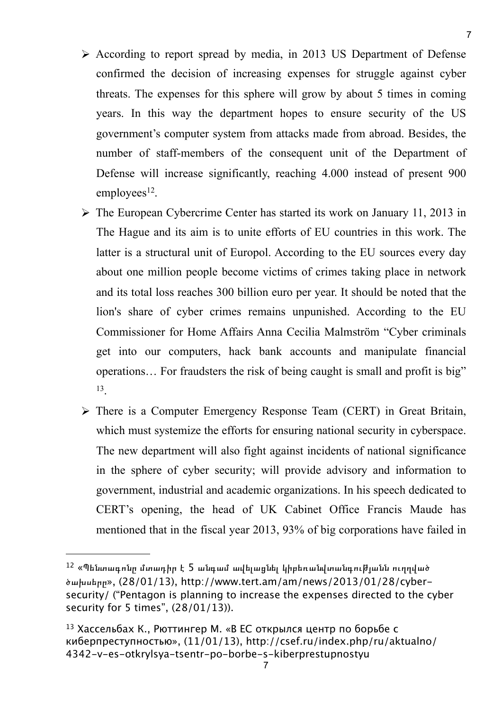- According to report spread by media, in 2013 US Department of Defense confirmed the decision of increasing expenses for struggle against cyber threats. The expenses for this sphere will grow by about 5 times in coming years. In this way the department hopes to ensure security of the US government's computer system from attacks made from abroad. Besides, the number of staff-members of the consequent unit of the Department of Defense will increase significantly, reaching 4.000 instead of present 900  $employees<sup>12</sup>$  $employees<sup>12</sup>$  $employees<sup>12</sup>$ .
- The European Cybercrime Center has started its work on January 11, 2013 in The Hague and its aim is to unite efforts of EU countries in this work. The latter is a structural unit of Europol. According to the EU sources every day about one million people become victims of crimes taking place in network and its total loss reaches 300 billion euro per year. It should be noted that the lion's share of cyber crimes remains unpunished. According to the EU Commissioner for Home Affairs Anna Cecilia Malmström "Cyber criminals get into our computers, hack bank accounts and manipulate financial operations… For fraudsters the risk of being caught is small and profit is big" [13](#page-6-1).
- There is a Computer Emergency Response Team (CERT) in Great Britain, which must systemize the efforts for ensuring national security in cyberspace. The new department will also fight against incidents of national significance in the sphere of cyber security; will provide advisory and information to government, industrial and academic organizations. In his speech dedicated to CERT's opening, the head of UK Cabinet Office Francis Maude has mentioned that in the fiscal year 2013, 93% of big corporations have failed in

<span id="page-6-0"></span> $12$  «Պենտագոնը մտադիր է 5 անգամ ավելացնել կիբեռանվտանգությանն ուղղված ծախսերը», (28/01/13), http://www.tert.am/am/news/2013/01/28/cybersecurity/ ("Pentagon is planning to increase the expenses directed to the cyber security for 5 times", (28/01/13)).

<span id="page-6-1"></span><sup>13</sup> Хассельбах К., Рюттингер М. «В ЕС открылся центр по борьбе с киберпреступностью», (11/01/13), http://csef.ru/index.php/ru/aktualno/ 4342-v-es-otkrylsya-tsentr-po-borbe-s-kiberprestupnostyu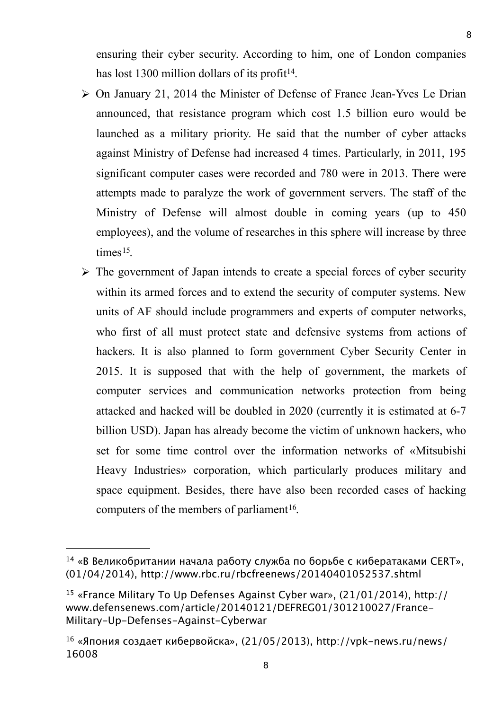ensuring their cyber security. According to him, one of London companies has lost 1300 million dollars of its profit<sup>[14](#page-7-0)</sup>.

- On January 21, 2014 the Minister of Defense of France Jean-Yves Le Drian announced, that resistance program which cost 1.5 billion euro would be launched as a military priority. He said that the number of cyber attacks against Ministry of Defense had increased 4 times. Particularly, in 2011, 195 significant computer cases were recorded and 780 were in 2013. There were attempts made to paralyze the work of government servers. The staff of the Ministry of Defense will almost double in coming years (up to 450 employees), and the volume of researches in this sphere will increase by three times<sup>15</sup>.
- $\triangleright$  The government of Japan intends to create a special forces of cyber security within its armed forces and to extend the security of computer systems. New units of AF should include programmers and experts of computer networks, who first of all must protect state and defensive systems from actions of hackers. It is also planned to form government Cyber Security Center in 2015. It is supposed that with the help of government, the markets of computer services and communication networks protection from being attacked and hacked will be doubled in 2020 (currently it is estimated at 6-7 billion USD). Japan has already become the victim of unknown hackers, who set for some time control over the information networks of «Mitsubishi Heavy Industries» corporation, which particularly produces military and space equipment. Besides, there have also been recorded cases of hacking computers of the members of parliament<sup>16</sup>.

<span id="page-7-0"></span> $14 \times B$  Великобритании начала работу служба по борьбе с кибератаками CERT», (01/04/2014), http://www.rbc.ru/rbcfreenews/20140401052537.shtml

<span id="page-7-1"></span><sup>15</sup> «France Military To Up Defenses Against Cyber war», (21/01/2014), http:// www.defensenews.com/article/20140121/DEFREG01/301210027/France-Military-Up-Defenses-Against-Cyberwar

<span id="page-7-2"></span> $16 \times$ Япония создает кибервойска», (21/05/2013), http://vpk-news.ru/news/ 16008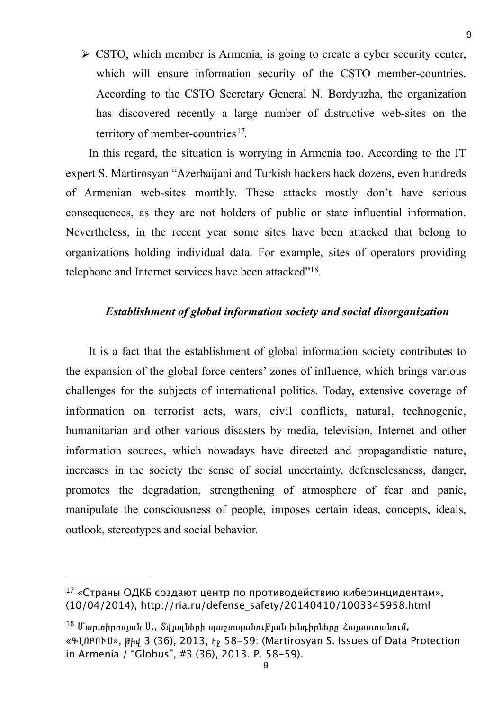$\triangleright$  CSTO, which member is Armenia, is going to create a cyber security center, which will ensure information security of the CSTO member-countries. According to the CSTO Secretary General N. Bordyuzha, the organization has discovered recently a large number of distructive web-sites on the territory of member-countries<sup>[17](#page-8-0)</sup>.

In this regard, the situation is worrying in Armenia too. According to the IT expert S. Martirosyan "Azerbaijani and Turkish hackers hack dozens, even hundreds of Armenian web-sites monthly. These attacks mostly don't have serious consequences, as they are not holders of public or state influential information. Nevertheless, in the recent year some sites have been attacked that belong to organizations holding individual data. For example, sites of operators providing telephone and Internet services have been attacked"[18](#page-8-1).

#### *Establishment of global information society and social disorganization*

It is a fact that the establishment of global information society contributes to the expansion of the global force centers' zones of influence, which brings various challenges for the subjects of international politics. Today, extensive coverage of information on terrorist acts, wars, civil conflicts, natural, technogenic, humanitarian and other various disasters by media, television, Internet and other information sources, which nowadays have directed and propagandistic nature, increases in the society the sense of social uncertainty, defenselessness, danger, promotes the degradation, strengthening of atmosphere of fear and panic, manipulate the consciousness of people, imposes certain ideas, concepts, ideals, outlook, stereotypes and social behavior.

<span id="page-8-0"></span><sup>17 «</sup>Страны ОДКБ создают центр по противодействию киберинцидентам», (10/04/2014), http://ria.ru/defense\_safety/20140410/1003345958.html

<span id="page-8-1"></span> $^{18}$  Մարտիրոսյան Ս., Տվյալների պաշտպանության խնդիրները Հայաստանում, «ԳԼՈԲՈՒՍ», թիվ 3 (36), 2013, էջ 58-59: (Martirosyan S. Issues of Data Protection in Armenia / "Globus", #3 (36), 2013. P. 58-59).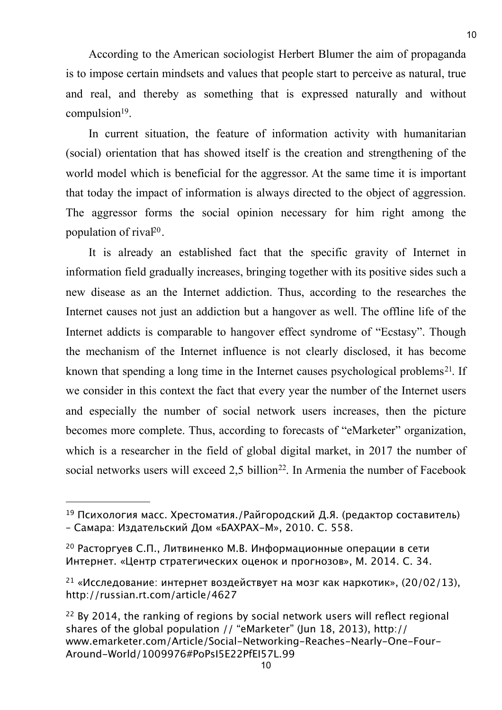According to the American sociologist Herbert Blumer the aim of propaganda is to impose certain mindsets and values that people start to perceive as natural, true and real, and thereby as something that is expressed naturally and without  $compusion<sup>19</sup>$ .

In current situation, the feature of information activity with humanitarian (social) orientation that has showed itself is the creation and strengthening of the world model which is beneficial for the aggressor. At the same time it is important that today the impact of information is always directed to the object of aggression. The aggressor forms the social opinion necessary for him right among the population of rival<sup>20</sup>.

It is already an established fact that the specific gravity of Internet in information field gradually increases, bringing together with its positive sides such a new disease as an the Internet addiction. Thus, according to the researches the Internet causes not just an addiction but a hangover as well. The offline life of the Internet addicts is comparable to hangover effect syndrome of "Ecstasy". Though the mechanism of the Internet influence is not clearly disclosed, it has become known that spending a long time in the Internet causes psychological problems<sup>21</sup>. If we consider in this context the fact that every year the number of the Internet users and especially the number of social network users increases, then the picture becomes more complete. Thus, according to forecasts of "eMarketer" organization, which is a researcher in the field of global digital market, in 2017 the number of social networks users will exceed 2,5 billion<sup>22</sup>. In Armenia the number of Facebook

<span id="page-9-0"></span><sup>19</sup> Психология масс. Хрестоматия./Райгородский Д.Я. (редактор составитель) – Самара: Издательский Дом «БАХРАХ-М», 2010. С. 558.

<span id="page-9-1"></span><sup>20</sup> Расторгуев С.П., Литвиненко М.В. Информационные операции в сети Интернет. «Центр стратегических оценок и прогнозов», М. 2014. С. 34.

<span id="page-9-2"></span><sup>&</sup>lt;sup>21</sup> «Исследование: интернет воздействует на мозг как наркотик», (20/02/13), http://russian.rt.com/article/4627

<span id="page-9-3"></span> $22$  By 2014, the ranking of regions by social network users will reflect regional shares of the global population // "eMarketer" (Jun 18, 2013), http:// www.emarketer.com/Article/Social-Networking-Reaches-Nearly-One-Four-Around-World/1009976#PoPsI5E22PfEI57L.99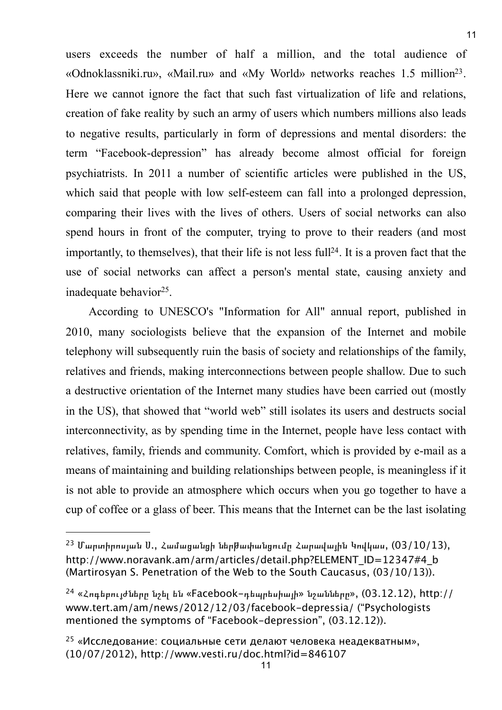users exceeds the number of half a million, and the total audience of «Odnoklassniki.ru», «Mail.ru» and «My World» networks reaches 1.5 millio[n23](#page-10-0). Here we cannot ignore the fact that such fast virtualization of life and relations, creation of fake reality by such an army of users which numbers millions also leads to negative results, particularly in form of depressions and mental disorders: the term "Facebook-depression" has already become almost official for foreign psychiatrists. In 2011 a number of scientific articles were published in the US, which said that people with low self-esteem can fall into a prolonged depression, comparing their lives with the lives of others. Users of social networks can also spend hours in front of the computer, trying to prove to their readers (and most importantly, to themselves), that their life is not less full<sup>24</sup>. It is a proven fact that the use of social networks can affect a person's mental state, causing anxiety and inadequate behavior<sup>25</sup>.

According to UNESCO's "Information for All" annual report, published in 2010, many sociologists believe that the expansion of the Internet and mobile telephony will subsequently ruin the basis of society and relationships of the family, relatives and friends, making interconnections between people shallow. Due to such a destructive orientation of the Internet many studies have been carried out (mostly in the US), that showed that "world web" still isolates its users and destructs social interconnectivity, as by spending time in the Internet, people have less contact with relatives, family, friends and community. Comfort, which is provided by e-mail as a means of maintaining and building relationships between people, is meaningless if it is not able to provide an atmosphere which occurs when you go together to have a cup of coffee or a glass of beer. This means that the Internet can be the last isolating

<span id="page-10-0"></span> $^{23}$  Մարտիրոսյան Ս., Համազանզի ներխափանցումը Հարավային Կովկաս,  $(03/10/13)$ , http://www.noravank.am/arm/articles/detail.php?ELEMENT\_ID=12347#4\_b (Martirosyan S. Penetration of the Web to the South Caucasus, (03/10/13)).

<span id="page-10-1"></span> $24$  «Հոգեբույժները նշել են «Facebook-դեպրեսիայի» նշանները», (03.12.12), http:// www.tert.am/am/news/2012/12/03/facebook-depressia/ ("Psychologists mentioned the symptoms of "Facebook-depression", (03.12.12)).

<span id="page-10-2"></span><sup>25 «</sup>Исследование: социальные сети делают человека неадекватным», (10/07/2012), http://www.vesti.ru/doc.html?id=846107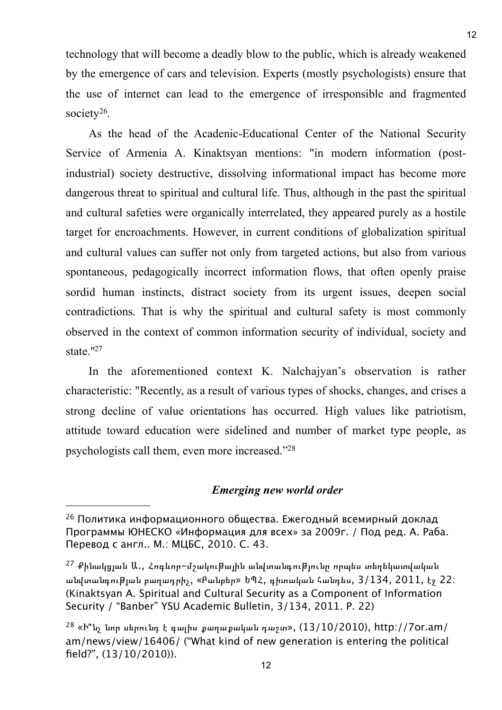technology that will become a deadly blow to the public, which is already weakened by the emergence of cars and television. Experts (mostly psychologists) ensure that the use of internet can lead to the emergence of irresponsible and fragmented society<sup>26</sup>.

As the head of the Acadenic-Educational Center of the National Security Service of Armenia A. Kinaktsyan mentions: "in modern information (postindustrial) society destructive, dissolving informational impact has become more dangerous threat to spiritual and cultural life. Thus, although in the past the spiritual and cultural safeties were organically interrelated, they appeared purely as a hostile target for encroachments. However, in current conditions of globalization spiritual and cultural values can suffer not only from targeted actions, but also from various spontaneous, pedagogically incorrect information flows, that often openly praise sordid human instincts, distract society from its urgent issues, deepen social contradictions. That is why the spiritual and cultural safety is most commonly observed in the context of common information security of individual, society and state.["27](#page-11-1)

In the aforementioned context K. Nalchajyan's observation is rather characteristic: "Recently, as a result of various types of shocks, changes, and crises a strong decline of value orientations has occurred. High values like patriotism, attitude toward education were sidelined and number of market type people, as psychologists call them, even more increased.["28](#page-11-2)

#### *Emerging new world order*

<span id="page-11-0"></span><sup>26</sup> Политика информационного общества. Ежегодный всемирный доклад Программы ЮНЕСКО «Информация для всех» за 2009г. / Под ред. А. Раба. Перевод с англ.. М.: МЦБС, 2010. С. 43.

<span id="page-11-1"></span> $^{27}$  Քինակցյան Ա., Հոգևոր-մշակութային անվտանգությունը որպես տեղեկատվական անվտանգության բաղադրիչ, «Բանբեր» ԵՊՀ, գիտական հանդես, 3/134, 2011, էջ 22: (Kinaktsyan A. Spiritual and Cultural Security as a Component of Information Security / "Banber" YSU Academic Bulletin, 3/134, 2011. P. 22)

<span id="page-11-2"></span> $28$  «Ի՞նչ նոր սերունդ է գալիս քաղաքական դաշտ»,  $(13/10/2010)$ , http://7or.am/ am/news/view/16406/ ("What kind of new generation is entering the political field?", (13/10/2010)).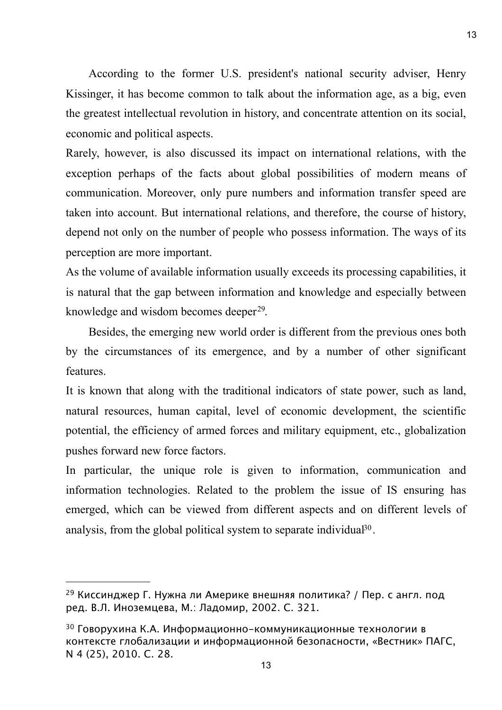According to the former U.S. president's national security adviser, Henry Kissinger, it has become common to talk about the information age, as a big, even the greatest intellectual revolution in history, and concentrate attention on its social, economic and political aspects.

Rarely, however, is also discussed its impact on international relations, with the exception perhaps of the facts about global possibilities of modern means of communication. Moreover, only pure numbers and information transfer speed are taken into account. But international relations, and therefore, the course of history, depend not only on the number of people who possess information. The ways of its perception are more important.

As the volume of available information usually exceeds its processing capabilities, it is natural that the gap between information and knowledge and especially between knowledge and wisdom becomes deeper<sup>29</sup>.

Besides, the emerging new world order is different from the previous ones both by the circumstances of its emergence, and by a number of other significant features.

It is known that along with the traditional indicators of state power, such as land, natural resources, human capital, level of economic development, the scientific potential, the efficiency of armed forces and military equipment, etc., globalization pushes forward new force factors.

In particular, the unique role is given to information, communication and information technologies. Related to the problem the issue of IS ensuring has emerged, which can be viewed from different aspects and on different levels of analysis, from the global political system to separate individual  $30<sup>90</sup>$ .

<span id="page-12-0"></span><sup>29</sup> Киссинджер Г. Нужна ли Америке внешняя политика? / Пер. с англ. под ред. В.Л. Иноземцева, М.: Ладомир, 2002. С. 321.

<span id="page-12-1"></span><sup>30</sup> Говорухина К.А. Информационно-коммуникационные технологии в контексте глобализации и информационной безопасности, «Вестник» ПАГС, N 4 (25), 2010. С. 28.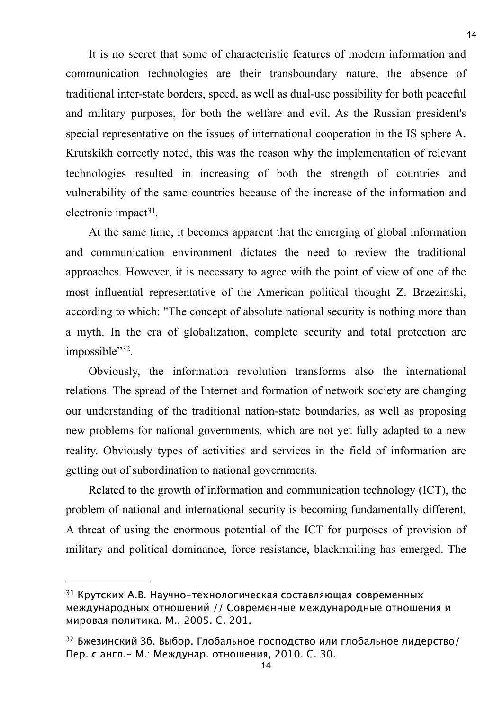It is no secret that some of characteristic features of modern information and communication technologies are their transboundary nature, the absence of traditional inter-state borders, speed, as well as dual-use possibility for both peaceful and military purposes, for both the welfare and evil. As the Russian president's special representative on the issues of international cooperation in the IS sphere A. Krutskikh correctly noted, this was the reason why the implementation of relevant technologies resulted in increasing of both the strength of countries and vulnerability of the same countries because of the increase of the information and electronic impact<sup>[31](#page-13-0)</sup>.

At the same time, it becomes apparent that the emerging of global information and communication environment dictates the need to review the traditional approaches. However, it is necessary to agree with the point of view of one of the most influential representative of the American political thought Z. Brzezinski, according to which: "The concept of absolute national security is nothing more than a myth. In the era of globalization, complete security and total protection are impossible"[32](#page-13-1).

Obviously, the information revolution transforms also the international relations. The spread of the Internet and formation of network society are changing our understanding of the traditional nation-state boundaries, as well as proposing new problems for national governments, which are not yet fully adapted to a new reality. Obviously types of activities and services in the field of information are getting out of subordination to national governments.

Related to the growth of information and communication technology (ICT), the problem of national and international security is becoming fundamentally different. A threat of using the enormous potential of the ICT for purposes of provision of military and political dominance, force resistance, blackmailing has emerged. The

<span id="page-13-0"></span><sup>31</sup> Крутских А.В. Научно-технологическая составляющая современных международных отношений // Современные международные отношения и мировая политика. М., 2005. С. 201.

<span id="page-13-1"></span><sup>32</sup> Бжезинский Зб. Выбор. Глобальное господство или глобальное лидерство/ Пер. с англ.- М.: Междунар. отношения, 2010. С. 30.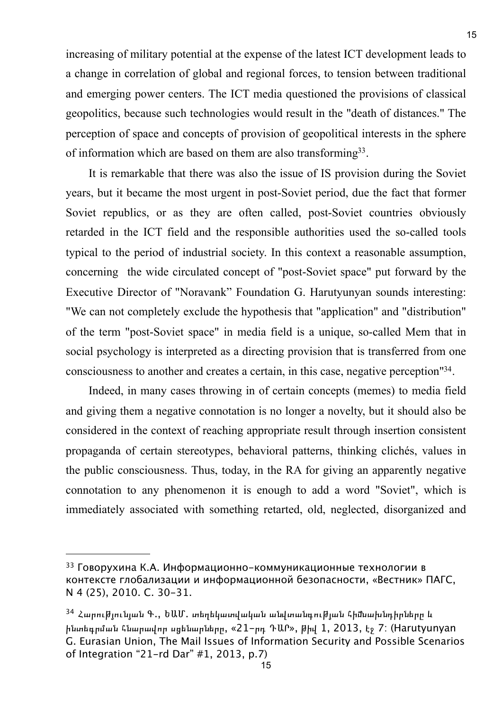increasing of military potential at the expense of the latest ICT development leads to a change in correlation of global and regional forces, to tension between traditional and emerging power centers. The ICT media questioned the provisions of classical geopolitics, because such technologies would result in the "death of distances." The perception of space and concepts of provision of geopolitical interests in the sphere of information which are based on them are also transformin[g33.](#page-14-0)

It is remarkable that there was also the issue of IS provision during the Soviet years, but it became the most urgent in post-Soviet period, due the fact that former Soviet republics, or as they are often called, post-Soviet countries obviously retarded in the ICT field and the responsible authorities used the so-called tools typical to the period of industrial society. In this context a reasonable assumption, concerning the wide circulated concept of "post-Soviet space" put forward by the Executive Director of "Noravank" Foundation G. Harutyunyan sounds interesting: "We can not completely exclude the hypothesis that "application" and "distribution" of the term "post-Soviet space" in media field is a unique, so-called Mem that in social psychology is interpreted as a directing provision that is transferred from one consciousness to another and creates a certain, in this case, negative perception["34.](#page-14-1)

Indeed, in many cases throwing in of certain concepts (memes) to media field and giving them a negative connotation is no longer a novelty, but it should also be considered in the context of reaching appropriate result through insertion consistent propaganda of certain stereotypes, behavioral patterns, thinking clichés, values in the public consciousness. Thus, today, in the RA for giving an apparently negative connotation to any phenomenon it is enough to add a word "Soviet", which is immediately associated with something retarted, old, neglected, disorganized and

<span id="page-14-0"></span><sup>33</sup> Говорухина К.А. Информационно-коммуникационные технологии в контексте глобализации и информационной безопасности, «Вестник» ПАГС, N 4 (25), 2010. С. 30-31.

<span id="page-14-1"></span><sup>34</sup> ՀարուԹյունյան Գ., ԵԱՄ. տեղեկատվական անվտանգուԹյան հիմնախնդիրները և ինտեգրման հնարավոր սցենարները, «21-րդ ԴԱՐ», թիվ 1, 2013, էջ 7: (Harutyunyan G. Eurasian Union, The Mail Issues of Information Security and Possible Scenarios of Integration "21-rd Dar" #1, 2013, p.7)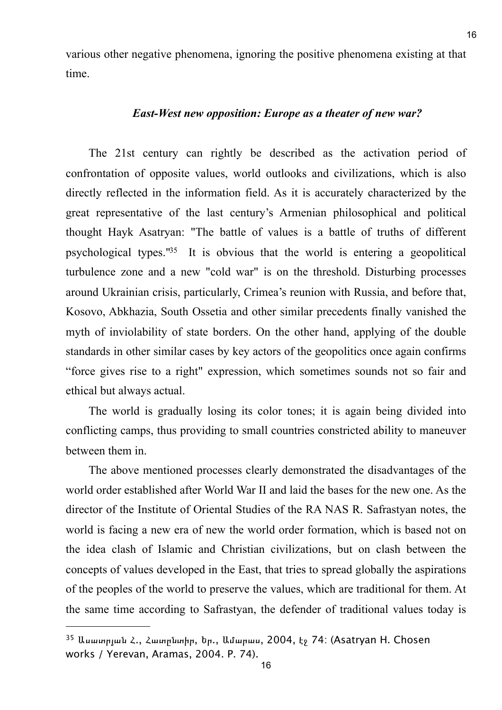various other negative phenomena, ignoring the positive phenomena existing at that time.

#### *East-West new opposition: Europe as a theater of new war?*

The 21st century can rightly be described as the activation period of confrontation of opposite values, world outlooks and civilizations, which is also directly reflected in the information field. As it is accurately characterized by the great representative of the last century's Armenian philosophical and political thought Hayk Asatryan: "The battle of values is a battle of truths of different psychological types.["35](#page-15-0) It is obvious that the world is entering a geopolitical turbulence zone and a new "cold war" is on the threshold. Disturbing processes around Ukrainian crisis, particularly, Crimea's reunion with Russia, and before that, Kosovo, Abkhazia, South Ossetia and other similar precedents finally vanished the myth of inviolability of state borders. On the other hand, applying of the double standards in other similar cases by key actors of the geopolitics once again confirms "force gives rise to a right" expression, which sometimes sounds not so fair and ethical but always actual.

The world is gradually losing its color tones; it is again being divided into conflicting camps, thus providing to small countries constricted ability to maneuver between them in.

The above mentioned processes clearly demonstrated the disadvantages of the world order established after World War II and laid the bases for the new one. As the director of the Institute of Oriental Studies of the RA NAS R. Safrastyan notes, the world is facing a new era of new the world order formation, which is based not on the idea clash of Islamic and Christian civilizations, but on clash between the concepts of values developed in the East, that tries to spread globally the aspirations of the peoples of the world to preserve the values, which are traditional for them. At the same time according to Safrastyan, the defender of traditional values today is

<span id="page-15-0"></span><sup>35</sup> Ասատրյան Հ., Հատընտիր, Եր., Ամարաս, 2004, էջ 74: (Asatryan H. Chosen works / Yerevan, Aramas, 2004. P. 74).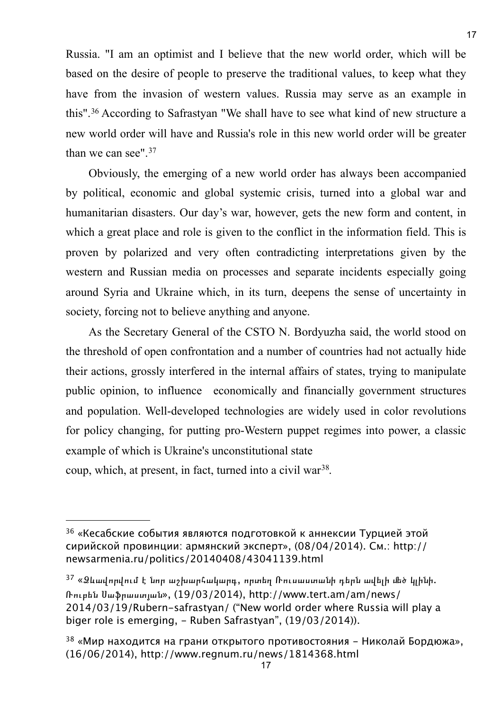Russia. "I am an optimist and I believe that the new world order, which will be based on the desire of people to preserve the traditional values, to keep what they have from the invasion of western values. Russia may serve as an example in this".[36](#page-16-0) According to Safrastyan "We shall have to see what kind of new structure a new world order will have and Russia's role in this new world order will be greater than we can see".[37](#page-16-1)

Obviously, the emerging of a new world order has always been accompanied by political, economic and global systemic crisis, turned into a global war and humanitarian disasters. Our day's war, however, gets the new form and content, in which a great place and role is given to the conflict in the information field. This is proven by polarized and very often contradicting interpretations given by the western and Russian media on processes and separate incidents especially going around Syria and Ukraine which, in its turn, deepens the sense of uncertainty in society, forcing not to believe anything and anyone.

As the Secretary General of the CSTO N. Bordyuzha said, the world stood on the threshold of open confrontation and a number of countries had not actually hide their actions, grossly interfered in the internal affairs of states, trying to manipulate public opinion, to influence economically and financially government structures and population. Well-developed technologies are widely used in color revolutions for policy changing, for putting pro-Western puppet regimes into power, a classic example of which is Ukraine's unconstitutional state coup, which, at present, in fact, turned into a civil war[38.](#page-16-2)

<span id="page-16-0"></span><sup>&</sup>lt;sup>36</sup> «Кесабские события являются подготовкой к аннексии Турцией этой сирийской провинции: армянский эксперт», (08/04/2014). См.: http:// newsarmenia.ru/politics/20140408/43041139.html

<span id="page-16-1"></span> $37$  «Ձևավորվում է նոր աշխարհակարգ, որտեղ Ռուսաստանի դերն ավելի մեծ կլինի. Ռուբեն Սաֆրաստյան», (19/03/2014), http://www.tert.am/am/news/ 2014/03/19/Rubern-safrastyan/ ("New world order where Russia will play a biger role is emerging, - Ruben Safrastyan", (19/03/2014)).

<span id="page-16-2"></span> $38$  «Мир находится на грани открытого противостояния - Николай Бордюжа», (16/06/2014), http://www.regnum.ru/news/1814368.html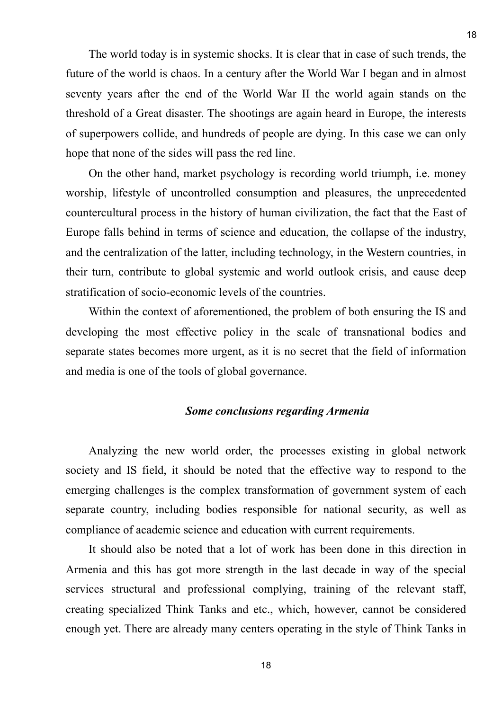The world today is in systemic shocks. It is clear that in case of such trends, the future of the world is chaos. In a century after the World War I began and in almost seventy years after the end of the World War II the world again stands on the threshold of a Great disaster. The shootings are again heard in Europe, the interests of superpowers collide, and hundreds of people are dying. In this case we can only hope that none of the sides will pass the red line.

On the other hand, market psychology is recording world triumph, i.e. money worship, lifestyle of uncontrolled consumption and pleasures, the unprecedented countercultural process in the history of human civilization, the fact that the East of Europe falls behind in terms of science and education, the collapse of the industry, and the centralization of the latter, including technology, in the Western countries, in their turn, contribute to global systemic and world outlook crisis, and cause deep stratification of socio-economic levels of the countries.

Within the context of aforementioned, the problem of both ensuring the IS and developing the most effective policy in the scale of transnational bodies and separate states becomes more urgent, as it is no secret that the field of information and media is one of the tools of global governance.

### *Some conclusions regarding Armenia*

Analyzing the new world order, the processes existing in global network society and IS field, it should be noted that the effective way to respond to the emerging challenges is the complex transformation of government system of each separate country, including bodies responsible for national security, as well as compliance of academic science and education with current requirements.

It should also be noted that a lot of work has been done in this direction in Armenia and this has got more strength in the last decade in way of the special services structural and professional complying, training of the relevant staff, creating specialized Think Tanks and etc., which, however, cannot be considered enough yet. There are already many centers operating in the style of Think Tanks in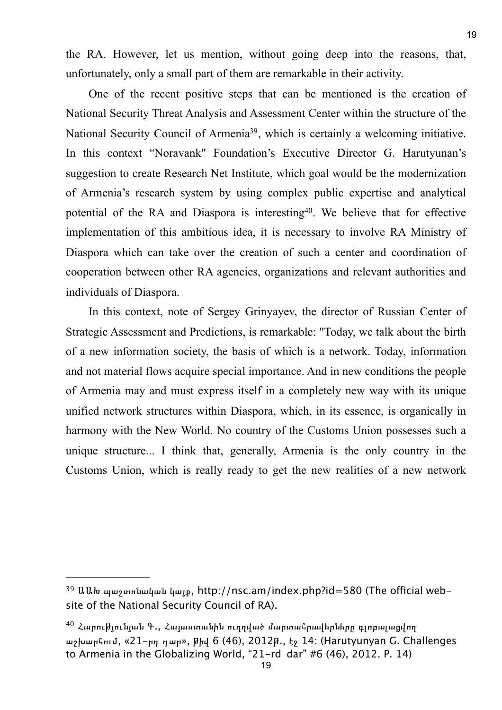the RA. However, let us mention, without going deep into the reasons, that, unfortunately, only a small part of them are remarkable in their activity.

One of the recent positive steps that can be mentioned is the creation of National Security Threat Analysis and Assessment Center within the structure of the National Security Council of Armeni[a39,](#page-18-0) which is certainly a welcoming initiative. In this context "Noravank" Foundation's Executive Director G. Harutyunan's suggestion to create Research Net Institute, which goal would be the modernization of Armenia's research system by using complex public expertise and analytical potential of the RA and Diaspora is interestin[g40.](#page-18-1) We believe that for effective implementation of this ambitious idea, it is necessary to involve RA Ministry of Diaspora which can take over the creation of such a center and coordination of cooperation between other RA agencies, organizations and relevant authorities and individuals of Diaspora.

In this context, note of Sergey Grinyayev, the director of Russian Center of Strategic Assessment and Predictions, is remarkable: "Today, we talk about the birth of a new information society, the basis of which is a network. Today, information and not material flows acquire special importance. And in new conditions the people of Armenia may and must express itself in a completely new way with its unique unified network structures within Diaspora, which, in its essence, is organically in harmony with the New World. No country of the Customs Union possesses such a unique structure... I think that, generally, Armenia is the only country in the Customs Union, which is really ready to get the new realities of a new network

<span id="page-18-0"></span> $39$  ԱԱԽ պաշտոնական կայթ, http://nsc.am/index.php?id=580 (The official website of the National Security Council of RA).

<span id="page-18-1"></span> $^{40}$  Հարու $\vec{b}$ լունյան Գ., Հայաստանին ուղղված մարտահրավերները գլոբալացվող աշխարհում, «21-րդ դար», թիվ 6 (46), 2012թ., էջ 14: (Harutyunyan G. Challenges to Armenia in the Globalizing World, "21-rd dar" #6 (46), 2012. P. 14)